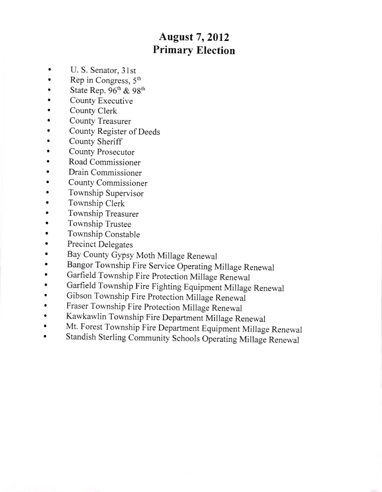## August 7,2012 Primary Election

- U.S. Senator, 31st
- Rep in Congress,  $5<sup>th</sup>$
- State Rep.  $96<sup>th</sup>$  &  $98<sup>th</sup>$
- . County Executive
- . County Clerk
- . County Treasurer
- . County Register of Deeds
- County Sheriff
- . County Prosecutor
- . Road Commissioner
- . Drain Commissioner
- . County Commissioner
- . Township Supervisor
- . Township Clerk
- . Township Treasurer
- . Township Trustee
- . Township Constable
- . Precinct Delegates
- . Bay County Gypsy Moth Millage Renewal
- Bangor Township Fire Service Operating Millage Renewal<br>• Garfield Township Fire Protection Millage Renewal
- . Garfield Township Fire protection Millage Renewal
- Garfield Township Fire Fighting Equipment Millage Renewal<br>• Gibson Township Fire Protection Millage Renewal
- . Gibson Township Fire protection Millage Renewal
- . Fraser Township Fire protection Millage Renewal
- Kawkawlin Township Fire Department Millage Renewal<br>• Mt. Forest Township Fire Department Favious of Mill
- Mt. Forest Township Fire Department Equipment Millage Renewal
- Standish Sterling Community Schools Operating Millage Renewal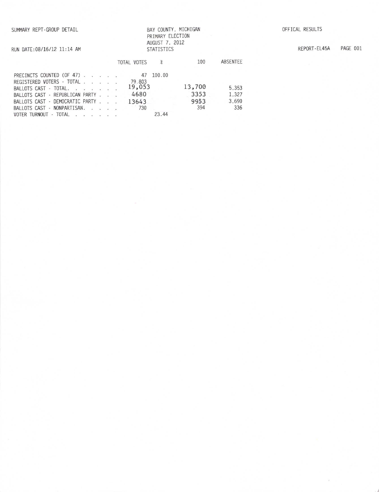RUN DATE:08/16/12 11:14 AM

## BAY COUNTY, MICHIGAN PRIMARY ELECTION AUGUST 7, <sup>2012</sup> STATISTICS

REPORT-EL45A PAGE 001

|                                                                |  | TOTAL VOTES<br>$\chi$ | 100         | ABSENTEE     |
|----------------------------------------------------------------|--|-----------------------|-------------|--------------|
| PRECINCTS COUNTED (OF 47) 47                                   |  | 100.00                |             |              |
| REGISTERED VOTERS - TOTAL<br>BALLOTS CAST - TOTAL.             |  | 79.803<br>19,053      | 13,700      | 5.353        |
| BALLOTS CAST - REPUBLICAN PARTY                                |  | 4680                  | 3353        | 1.327        |
| BALLOTS CAST - DEMOCRATIC PARTY<br>BALLOTS CAST - NONPARTISAN. |  | 13643<br>730          | 9953<br>394 | 3,690<br>336 |
| VOTER TURNOUT - TOTAL                                          |  | 23.44                 |             |              |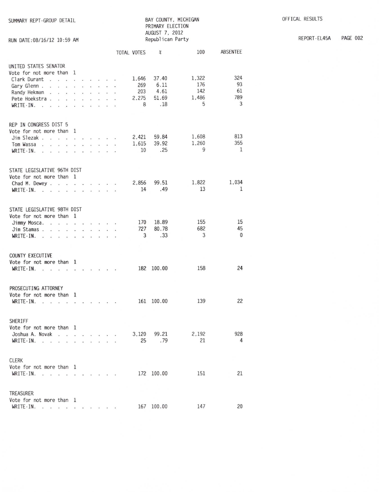| SUMMARY REPT-GROUP DETAIL<br>RUN DATE: 08/16/12 10:59 AM                                                                                          |                            |  |                      |                      |                                               |                                   | PRIMARY ELECTION<br>AUGUST 7, 2012<br>Republican Party | BAY COUNTY, MICHIGAN              |                             |  |
|---------------------------------------------------------------------------------------------------------------------------------------------------|----------------------------|--|----------------------|----------------------|-----------------------------------------------|-----------------------------------|--------------------------------------------------------|-----------------------------------|-----------------------------|--|
|                                                                                                                                                   |                            |  |                      |                      |                                               | TOTAL VOTES                       | $\chi$                                                 | 100                               | ABSENTEE                    |  |
| UNITED STATES SENATOR<br>Vote for not more than 1<br>Clark Durant<br>Gary Glenn<br>Randy Hekman<br>Pete Hoekstra<br>$WRITE-IN.$ .<br>$\mathbf{r}$ | $\mathcal{L}_{\mathbf{r}}$ |  |                      |                      |                                               | 1.646<br>269<br>203<br>2.275<br>8 | 37.40<br>6.11<br>4.61<br>51.69<br>.18                  | 1,322<br>176<br>142<br>1.486<br>5 | 324<br>93<br>61<br>789<br>3 |  |
| REP IN CONGRESS DIST 5<br>Vote for not more than 1<br>Jim Slezak<br>Tom Wassa<br>WRITE-IN. $\cdots$ $\cdots$ $\cdots$                             |                            |  |                      | $\ddot{\phantom{a}}$ | $\ddot{\phantom{a}}$<br>$\dddot{\phantom{1}}$ | 2.421<br>1.615<br>10              | 59.84<br>39.92<br>.25                                  | 1,608<br>1.260<br>9               | 813<br>355<br>1             |  |
| STATE LEGISLATIVE 96TH DIST<br>Vote for not more than 1<br>Chad M. Dewey<br>WRITE-IN.<br>فالمنابذ المنابذ المرابين<br>$\sim$ $\sim$               |                            |  |                      |                      |                                               | 2.856<br>14                       | 99.51<br>.49                                           | 1,822<br>13                       | 1,034<br>1                  |  |
| STATE LEGISLATIVE 98TH DIST<br>Vote for not more than 1<br>Jimmy Mosca.<br>Jim Stamas<br>WRITE-IN.<br>the contract of the contract of             |                            |  | $\ddot{\phantom{1}}$ |                      |                                               | 170<br>727<br>3                   | 18.89<br>80.78<br>.33                                  | 155<br>682<br>3                   | 15<br>45<br>0               |  |
| <b>COUNTY EXECUTIVE</b><br>Vote for not more than 1<br>WRITE-IN.<br>$\sim$<br>.                                                                   |                            |  |                      | V.                   |                                               |                                   | 182 100.00                                             | 158                               | 24                          |  |
| PROSECUTING ATTORNEY<br>Vote for not more than 1<br>WRITE-IN.                                                                                     |                            |  |                      |                      |                                               |                                   | 161 100.00                                             | 139                               | 22                          |  |
| SHERIFF<br>Vote for not more than 1<br>Joshua A. Novak<br>WRITE-IN.                                                                               |                            |  |                      |                      |                                               | 3,120<br>25                       | 99.21<br>.79                                           | 2.192<br>21                       | 928<br>4                    |  |
| <b>CLERK</b><br>Vote for not more than 1<br>WRITE-IN.                                                                                             |                            |  |                      |                      |                                               |                                   | 172 100.00                                             | 151                               | 21                          |  |
| TREASURER<br>Vote for not more than 1<br>WRITE-IN.                                                                                                |                            |  |                      |                      |                                               |                                   | 167 100.00                                             | 147                               | 20                          |  |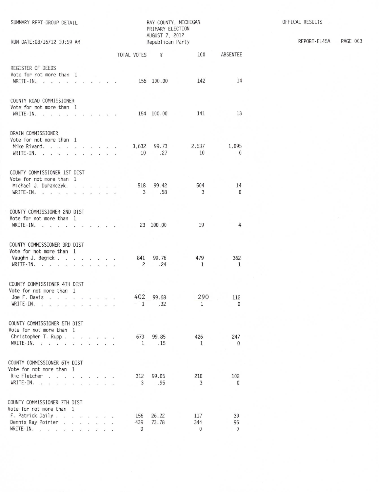| SUMMARY REPT-GROUP DETAIL<br>RUN DATE: 08/16/12 10:59 AM         | BAY COUNTY, MICHIGAN<br>PRIMARY ELECTION<br>AUGUST 7, 2012<br>Republican Party |  |                 |                             |         |  |                |              |  |              |              |
|------------------------------------------------------------------|--------------------------------------------------------------------------------|--|-----------------|-----------------------------|---------|--|----------------|--------------|--|--------------|--------------|
|                                                                  |                                                                                |  |                 |                             |         |  | TOTAL VOTES    | $\chi$       |  | 100          | ABSENTEE     |
|                                                                  |                                                                                |  |                 |                             |         |  |                |              |  |              |              |
| REGISTER OF DEEDS<br>Vote for not more than 1                    |                                                                                |  |                 |                             |         |  |                |              |  |              |              |
| $WRITE-IN.$                                                      | $\mathcal{L}$                                                                  |  |                 |                             | 549.000 |  |                | 156 100.00   |  | 142          | 14           |
|                                                                  |                                                                                |  |                 |                             |         |  |                |              |  |              |              |
| COUNTY ROAD COMMISSIONER                                         |                                                                                |  |                 |                             |         |  |                |              |  |              |              |
| Vote for not more than 1                                         |                                                                                |  |                 |                             |         |  |                |              |  |              |              |
| WRITE-IN.<br>.                                                   |                                                                                |  |                 |                             |         |  |                | 154 100.00   |  | 141          | 13           |
|                                                                  |                                                                                |  |                 |                             |         |  |                |              |  |              |              |
| DRAIN COMMISSIONER                                               |                                                                                |  |                 |                             |         |  |                |              |  |              |              |
| Vote for not more than 1                                         |                                                                                |  |                 |                             |         |  |                |              |  |              |              |
| Mike Rivard.                                                     |                                                                                |  |                 |                             |         |  | 3,632          | 99.73        |  | 2,537        | 1,095        |
| WRITE-IN.<br>$\ddot{\phantom{1}}$<br>$\dddot{\phantom{1}}$       |                                                                                |  | $\cdot$ $\cdot$ |                             |         |  | 10             | .27          |  | 10           | $\mathbf{0}$ |
|                                                                  |                                                                                |  |                 |                             |         |  |                |              |  |              |              |
| COUNTY COMMISSIONER 1ST DIST                                     |                                                                                |  |                 |                             |         |  |                |              |  |              |              |
| Vote for not more than 1                                         |                                                                                |  |                 |                             |         |  |                |              |  |              |              |
| Michael J. Duranczyk.                                            |                                                                                |  |                 |                             |         |  | 518            | 99.42        |  | 504          | 14           |
| WRITE IN $\cdots$                                                |                                                                                |  |                 |                             |         |  | 3 <sup>1</sup> | .58          |  | 3            | $\mathbf{0}$ |
|                                                                  |                                                                                |  |                 |                             |         |  |                |              |  |              |              |
| COUNTY COMMISSIONER 2ND DIST                                     |                                                                                |  |                 |                             |         |  |                |              |  |              |              |
| Vote for not more than 1                                         |                                                                                |  |                 |                             |         |  |                |              |  |              |              |
| WRITE-IN.<br>the contract of the contract of the                 |                                                                                |  | $\cdot$ $\cdot$ |                             |         |  |                | 23 100.00    |  | 19           | 4            |
|                                                                  |                                                                                |  |                 |                             |         |  |                |              |  |              |              |
| COUNTY COMMISSIONER 3RD DIST                                     |                                                                                |  |                 |                             |         |  |                |              |  |              |              |
| Vote for not more than 1                                         |                                                                                |  |                 |                             |         |  |                |              |  |              |              |
| Vaughn J. Begick                                                 |                                                                                |  |                 |                             |         |  | 841            | 99.76        |  | 479          | 362          |
| WRITE-IN.                                                        |                                                                                |  | $\cdot$ $\cdot$ |                             |         |  | 2              | .24          |  | $\mathbf{1}$ | $\mathbf{1}$ |
|                                                                  |                                                                                |  |                 |                             |         |  |                |              |  |              |              |
| COUNTY COMMISSIONER 4TH DIST                                     |                                                                                |  |                 |                             |         |  |                |              |  |              |              |
| Vote for not more than 1                                         |                                                                                |  |                 |                             |         |  |                |              |  |              |              |
| Joe F. Davis                                                     |                                                                                |  |                 |                             |         |  | 402            | 99.68        |  | 290          | 112          |
| $WRITE-IN.$                                                      |                                                                                |  |                 | $\sim$ $\sim$ $\sim$ $\sim$ |         |  | $-1$           | .32          |  | $\mathbf{1}$ | 0            |
|                                                                  |                                                                                |  |                 |                             |         |  |                |              |  |              |              |
| COUNTY COMMISSIONER 5TH DIST                                     |                                                                                |  |                 |                             |         |  |                |              |  |              |              |
| Vote for not more than 1                                         |                                                                                |  |                 |                             |         |  |                |              |  |              |              |
| Christopher T. Rupp.                                             | the contract of the contract of                                                |  |                 |                             |         |  | 673            | 99.85        |  | 426          | 247          |
| WRITE-IN.<br><b>Contract Contract Street</b>                     |                                                                                |  |                 |                             |         |  | 1              | .15          |  | 1            | 0            |
|                                                                  |                                                                                |  |                 |                             |         |  |                |              |  |              |              |
| COUNTY COMMISSIONER 6TH DIST                                     |                                                                                |  |                 |                             |         |  |                |              |  |              |              |
| Vote for not more than 1                                         |                                                                                |  |                 |                             |         |  |                |              |  |              |              |
| Ric Fletcher<br>the property of the property of the<br>WRITE-IN. |                                                                                |  |                 |                             |         |  | 312<br>3       | 99.05<br>.95 |  | 210<br>3     | 102          |
| - 20<br>$\sim$ $\sim$ $\sim$                                     | $\mathcal{L}$                                                                  |  |                 | $\cdot$ $\cdot$ $\cdot$     |         |  |                |              |  |              | $\mathbf{0}$ |
| COUNTY COMMISSIONER 7TH DIST                                     |                                                                                |  |                 |                             |         |  |                |              |  |              |              |
| Vote for not more than 1                                         |                                                                                |  |                 |                             |         |  |                |              |  |              |              |
| F. Patrick Daily.                                                |                                                                                |  |                 |                             |         |  | 156            | 26.22        |  | 117          | 39           |
| Dennis Ray Poirier                                               |                                                                                |  |                 |                             |         |  | 439            | 73.78        |  | 344          | 95           |
| $WRITE-IN.$                                                      | $\mathbf{r}$ and $\mathbf{r}$ and $\mathbf{r}$                                 |  |                 |                             |         |  | $\Omega$       |              |  | $\Omega$     | 0            |
|                                                                  |                                                                                |  |                 |                             |         |  |                |              |  |              |              |

OFFICAL RESULTS

REPORT-EL45A PAGE 003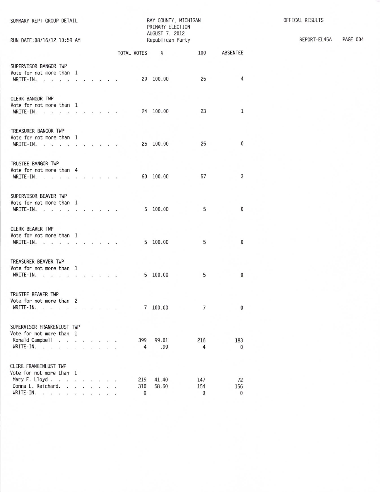| SUMMARY REPT-GROUP DETAIL<br>RUN DATE: 08/16/12 10:59 AM                      | BAY COUNTY, MICHIGAN<br>PRIMARY ELECTION<br>AUGUST 7, 2012<br>Republican Party | OFFICAL RESULTS<br>PAGE 004<br>REPORT-EL45A |
|-------------------------------------------------------------------------------|--------------------------------------------------------------------------------|---------------------------------------------|
|                                                                               | ABSENTEE<br>TOTAL VOTES %<br>100                                               |                                             |
| SUPERVISOR BANGOR TWP                                                         |                                                                                |                                             |
| Vote for not more than 1                                                      |                                                                                |                                             |
| WRITE - IN.                                                                   | 4<br>29 100.00<br>25                                                           |                                             |
|                                                                               |                                                                                |                                             |
| CLERK BANGOR TWP                                                              |                                                                                |                                             |
| Vote for not more than 1                                                      |                                                                                |                                             |
| WRITE-IN.                                                                     | 24 100.00<br>23<br>1                                                           |                                             |
|                                                                               |                                                                                |                                             |
| TREASURER BANGOR TWP                                                          |                                                                                |                                             |
| Vote for not more than 1                                                      |                                                                                |                                             |
| WRITE-IN.                                                                     | $\bf{0}$<br>25 100.00<br>25                                                    |                                             |
|                                                                               |                                                                                |                                             |
| TRUSTEE BANGOR TWP                                                            |                                                                                |                                             |
| Vote for not more than 4                                                      |                                                                                |                                             |
| WRITE-IN.                                                                     | 57<br>3<br>60 100.00                                                           |                                             |
|                                                                               |                                                                                |                                             |
| SUPERVISOR BEAVER TWP                                                         |                                                                                |                                             |
| Vote for not more than 1                                                      |                                                                                |                                             |
| WRITE IN. $\cdots$ $\cdots$ $\cdots$                                          | 5 100.00<br>$\mathbf 0$<br>5                                                   |                                             |
|                                                                               |                                                                                |                                             |
| CLERK BEAVER TWP                                                              |                                                                                |                                             |
| Vote for not more than 1                                                      |                                                                                |                                             |
| WRITE $\cdot$ IN.                                                             | 5 100.00<br>5<br>$\bf{0}$                                                      |                                             |
|                                                                               |                                                                                |                                             |
| TREASURER BEAVER TWP                                                          |                                                                                |                                             |
| Vote for not more than 1                                                      |                                                                                |                                             |
| WRITE-IN.                                                                     | 5 100.00<br>5<br>$\mathbf{0}$                                                  |                                             |
|                                                                               |                                                                                |                                             |
| TRUSTEE BEAVER TWP                                                            |                                                                                |                                             |
| Vote for not more than 2                                                      |                                                                                |                                             |
| $WRITE-IN.$<br>$\cdot$ $\cdot$ $\cdot$<br>$\cdot$ $\cdot$ $\cdot$             | $\overline{7}$<br>7100.00<br>0                                                 |                                             |
|                                                                               |                                                                                |                                             |
| SUPERVISOR FRANKENLUST TWP                                                    |                                                                                |                                             |
| Vote for not more than 1<br>Ronald Campbell                                   |                                                                                |                                             |
| WRITE $\cdot$ IN.                                                             | 399<br>99.01<br>216<br>183<br>.99<br>4<br>4<br>$\Omega$                        |                                             |
|                                                                               |                                                                                |                                             |
| CLERK FRANKENLUST TWP                                                         |                                                                                |                                             |
| Vote for not more than 1                                                      |                                                                                |                                             |
| Mary F. Lloyd.                                                                | 219<br>41.40<br>147<br>72                                                      |                                             |
| Donna L. Reichard.<br>$\cdot$ $\cdot$ $\cdot$ $\cdot$ $\cdot$ $\cdot$ $\cdot$ | 58.60<br>154<br>310<br>156                                                     |                                             |
| WRITE-IN.                                                                     | 0<br>0<br>0                                                                    |                                             |
|                                                                               |                                                                                |                                             |